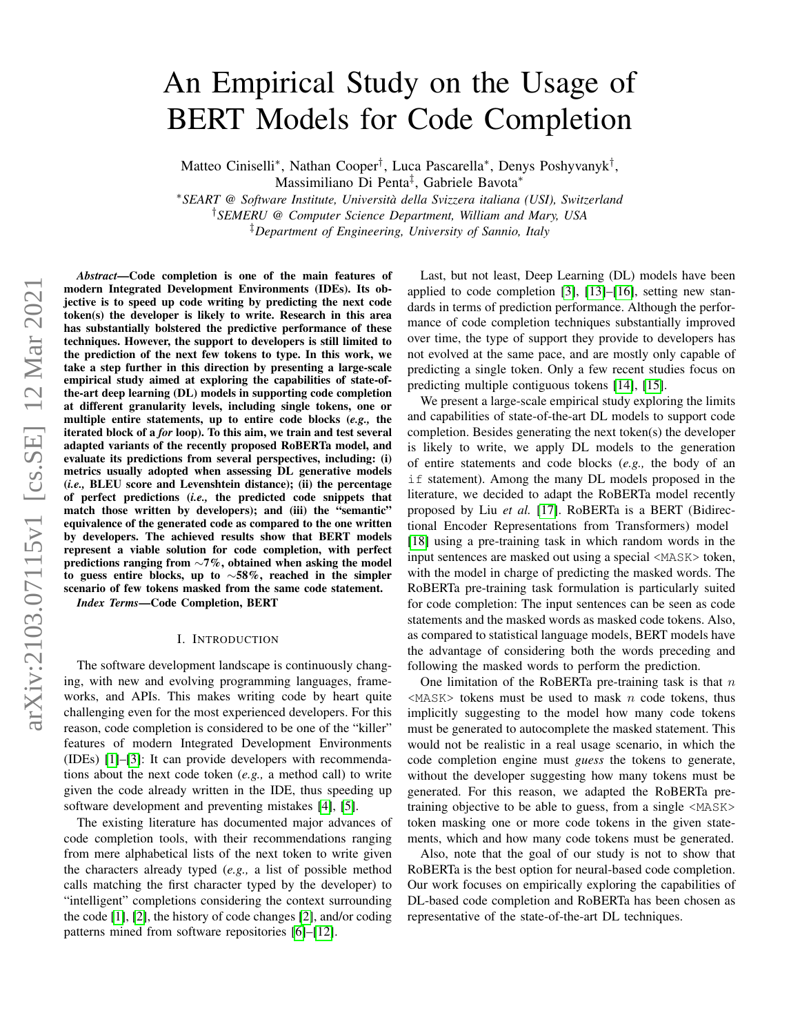# arXiv:2103.07115v1 [cs.SE] 12 Mar 2021 arXiv:2103.07115v1 [cs.SE] 12 Mar 2021

# An Empirical Study on the Usage of BERT Models for Code Completion

Matteo Ciniselli<sup>∗</sup> , Nathan Cooper† , Luca Pascarella<sup>∗</sup> , Denys Poshyvanyk† ,

Massimiliano Di Penta‡ , Gabriele Bavota<sup>∗</sup>

<sup>∗</sup>*SEART @ Software Institute, Universita della Svizzera italiana (USI), Switzerland `*

†*SEMERU @ Computer Science Department, William and Mary, USA*

‡*Department of Engineering, University of Sannio, Italy*

*Abstract*—Code completion is one of the main features of modern Integrated Development Environments (IDEs). Its objective is to speed up code writing by predicting the next code token(s) the developer is likely to write. Research in this area has substantially bolstered the predictive performance of these techniques. However, the support to developers is still limited to the prediction of the next few tokens to type. In this work, we take a step further in this direction by presenting a large-scale empirical study aimed at exploring the capabilities of state-ofthe-art deep learning (DL) models in supporting code completion at different granularity levels, including single tokens, one or multiple entire statements, up to entire code blocks (*e.g.,* the iterated block of a *for* loop). To this aim, we train and test several adapted variants of the recently proposed RoBERTa model, and evaluate its predictions from several perspectives, including: (i) metrics usually adopted when assessing DL generative models (*i.e.,* BLEU score and Levenshtein distance); (ii) the percentage of perfect predictions (*i.e.,* the predicted code snippets that match those written by developers); and (iii) the "semantic" equivalence of the generated code as compared to the one written by developers. The achieved results show that BERT models represent a viable solution for code completion, with perfect predictions ranging from ∼7%, obtained when asking the model to guess entire blocks, up to ∼58%, reached in the simpler scenario of few tokens masked from the same code statement. *Index Terms*—Code Completion, BERT

# I. INTRODUCTION

The software development landscape is continuously changing, with new and evolving programming languages, frameworks, and APIs. This makes writing code by heart quite challenging even for the most experienced developers. For this reason, code completion is considered to be one of the "killer" features of modern Integrated Development Environments (IDEs) [\[1\]](#page-10-0)–[\[3\]](#page-10-1): It can provide developers with recommendations about the next code token (*e.g.,* a method call) to write given the code already written in the IDE, thus speeding up software development and preventing mistakes [\[4\]](#page-10-2), [\[5\]](#page-10-3).

The existing literature has documented major advances of code completion tools, with their recommendations ranging from mere alphabetical lists of the next token to write given the characters already typed (*e.g.,* a list of possible method calls matching the first character typed by the developer) to "intelligent" completions considering the context surrounding the code [\[1\]](#page-10-0), [\[2\]](#page-10-4), the history of code changes [\[2\]](#page-10-4), and/or coding patterns mined from software repositories [\[6\]](#page-10-5)–[\[12\]](#page-10-6).

Last, but not least, Deep Learning (DL) models have been applied to code completion [\[3\]](#page-10-1), [\[13\]](#page-10-7)–[\[16\]](#page-10-8), setting new standards in terms of prediction performance. Although the performance of code completion techniques substantially improved over time, the type of support they provide to developers has not evolved at the same pace, and are mostly only capable of predicting a single token. Only a few recent studies focus on predicting multiple contiguous tokens [\[14\]](#page-10-9), [\[15\]](#page-10-10).

We present a large-scale empirical study exploring the limits and capabilities of state-of-the-art DL models to support code completion. Besides generating the next token(s) the developer is likely to write, we apply DL models to the generation of entire statements and code blocks (*e.g.,* the body of an if statement). Among the many DL models proposed in the literature, we decided to adapt the RoBERTa model recently proposed by Liu *et al.* [\[17\]](#page-10-11). RoBERTa is a BERT (Bidirectional Encoder Representations from Transformers) model [\[18\]](#page-10-12) using a pre-training task in which random words in the input sentences are masked out using a special <MASK> token, with the model in charge of predicting the masked words. The RoBERTa pre-training task formulation is particularly suited for code completion: The input sentences can be seen as code statements and the masked words as masked code tokens. Also, as compared to statistical language models, BERT models have the advantage of considering both the words preceding and following the masked words to perform the prediction.

One limitation of the RoBERTa pre-training task is that  $n$  $<$ MASK $>$  tokens must be used to mask n code tokens, thus implicitly suggesting to the model how many code tokens must be generated to autocomplete the masked statement. This would not be realistic in a real usage scenario, in which the code completion engine must *guess* the tokens to generate, without the developer suggesting how many tokens must be generated. For this reason, we adapted the RoBERTa pretraining objective to be able to guess, from a single <MASK> token masking one or more code tokens in the given statements, which and how many code tokens must be generated.

Also, note that the goal of our study is not to show that RoBERTa is the best option for neural-based code completion. Our work focuses on empirically exploring the capabilities of DL-based code completion and RoBERTa has been chosen as representative of the state-of-the-art DL techniques.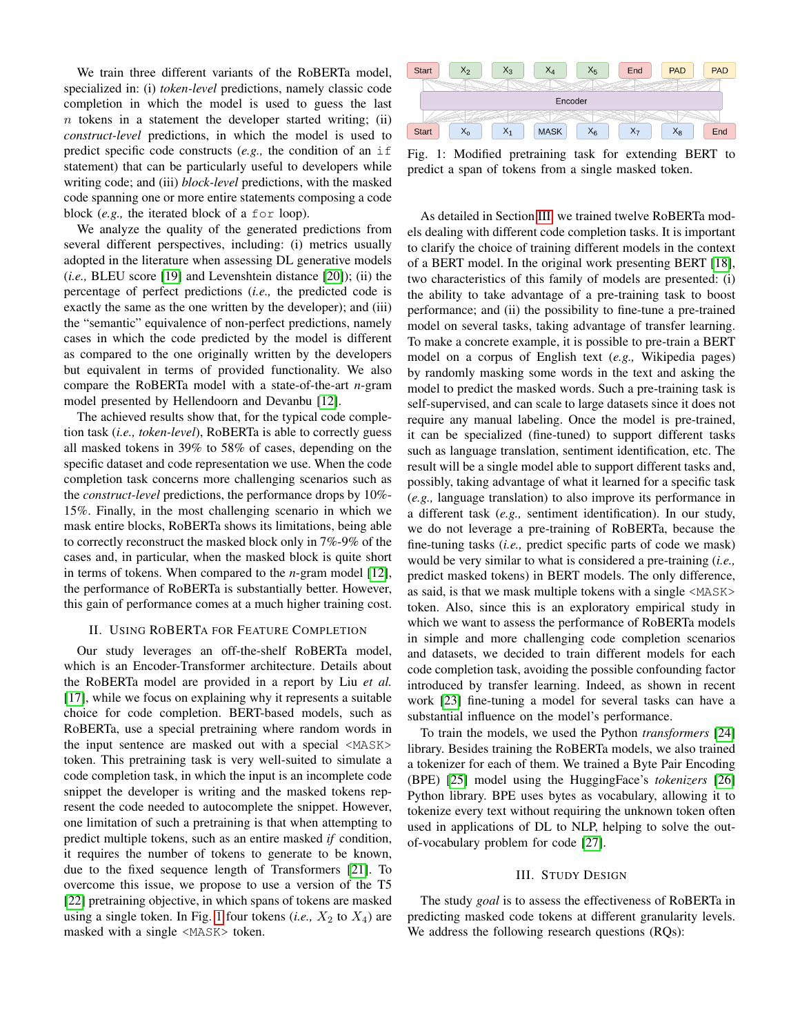We train three different variants of the RoBERTa model, specialized in: (i) *token-level* predictions, namely classic code completion in which the model is used to guess the last  $n$  tokens in a statement the developer started writing; (ii) *construct-level* predictions, in which the model is used to predict specific code constructs (*e.g.,* the condition of an if statement) that can be particularly useful to developers while writing code; and (iii) *block-level* predictions, with the masked code spanning one or more entire statements composing a code block (*e.g.,* the iterated block of a for loop).

We analyze the quality of the generated predictions from several different perspectives, including: (i) metrics usually adopted in the literature when assessing DL generative models (*i.e.,* BLEU score [\[19\]](#page-10-13) and Levenshtein distance [\[20\]](#page-10-14)); (ii) the percentage of perfect predictions (*i.e.,* the predicted code is exactly the same as the one written by the developer); and (iii) the "semantic" equivalence of non-perfect predictions, namely cases in which the code predicted by the model is different as compared to the one originally written by the developers but equivalent in terms of provided functionality. We also compare the RoBERTa model with a state-of-the-art *n*-gram model presented by Hellendoorn and Devanbu [\[12\]](#page-10-6).

The achieved results show that, for the typical code completion task (*i.e., token-level*), RoBERTa is able to correctly guess all masked tokens in 39% to 58% of cases, depending on the specific dataset and code representation we use. When the code completion task concerns more challenging scenarios such as the *construct-level* predictions, the performance drops by 10%- 15%. Finally, in the most challenging scenario in which we mask entire blocks, RoBERTa shows its limitations, being able to correctly reconstruct the masked block only in 7%-9% of the cases and, in particular, when the masked block is quite short in terms of tokens. When compared to the *n*-gram model [\[12\]](#page-10-6), the performance of RoBERTa is substantially better. However, this gain of performance comes at a much higher training cost.

# II. USING ROBERTA FOR FEATURE COMPLETION

Our study leverages an off-the-shelf RoBERTa model, which is an Encoder-Transformer architecture. Details about the RoBERTa model are provided in a report by Liu *et al.* [\[17\]](#page-10-11), while we focus on explaining why it represents a suitable choice for code completion. BERT-based models, such as RoBERTa, use a special pretraining where random words in the input sentence are masked out with a special <MASK> token. This pretraining task is very well-suited to simulate a code completion task, in which the input is an incomplete code snippet the developer is writing and the masked tokens represent the code needed to autocomplete the snippet. However, one limitation of such a pretraining is that when attempting to predict multiple tokens, such as an entire masked *if* condition, it requires the number of tokens to generate to be known, due to the fixed sequence length of Transformers [\[21\]](#page-10-15). To overcome this issue, we propose to use a version of the T5 [\[22\]](#page-10-16) pretraining objective, in which spans of tokens are masked using a single token. In Fig. [1](#page-1-0) four tokens  $(i.e., X_2 \text{ to } X_4)$  are masked with a single <MASK> token.

<span id="page-1-0"></span>

Fig. 1: Modified pretraining task for extending BERT to predict a span of tokens from a single masked token.

As detailed in Section [III,](#page-1-1) we trained twelve RoBERTa models dealing with different code completion tasks. It is important to clarify the choice of training different models in the context of a BERT model. In the original work presenting BERT [\[18\]](#page-10-12), two characteristics of this family of models are presented: (i) the ability to take advantage of a pre-training task to boost performance; and (ii) the possibility to fine-tune a pre-trained model on several tasks, taking advantage of transfer learning. To make a concrete example, it is possible to pre-train a BERT model on a corpus of English text (*e.g.,* Wikipedia pages) by randomly masking some words in the text and asking the model to predict the masked words. Such a pre-training task is self-supervised, and can scale to large datasets since it does not require any manual labeling. Once the model is pre-trained, it can be specialized (fine-tuned) to support different tasks such as language translation, sentiment identification, etc. The result will be a single model able to support different tasks and, possibly, taking advantage of what it learned for a specific task (*e.g.,* language translation) to also improve its performance in a different task (*e.g.,* sentiment identification). In our study, we do not leverage a pre-training of RoBERTa, because the fine-tuning tasks (*i.e.,* predict specific parts of code we mask) would be very similar to what is considered a pre-training (*i.e.,* predict masked tokens) in BERT models. The only difference, as said, is that we mask multiple tokens with a single <MASK> token. Also, since this is an exploratory empirical study in which we want to assess the performance of RoBERTa models in simple and more challenging code completion scenarios and datasets, we decided to train different models for each code completion task, avoiding the possible confounding factor introduced by transfer learning. Indeed, as shown in recent work [\[23\]](#page-10-17) fine-tuning a model for several tasks can have a substantial influence on the model's performance.

To train the models, we used the Python *transformers* [\[24\]](#page-10-18) library. Besides training the RoBERTa models, we also trained a tokenizer for each of them. We trained a Byte Pair Encoding (BPE) [\[25\]](#page-10-19) model using the HuggingFace's *tokenizers* [\[26\]](#page-10-20) Python library. BPE uses bytes as vocabulary, allowing it to tokenize every text without requiring the unknown token often used in applications of DL to NLP, helping to solve the outof-vocabulary problem for code [\[27\]](#page-10-21).

# III. STUDY DESIGN

<span id="page-1-1"></span>The study *goal* is to assess the effectiveness of RoBERTa in predicting masked code tokens at different granularity levels. We address the following research questions (RQs):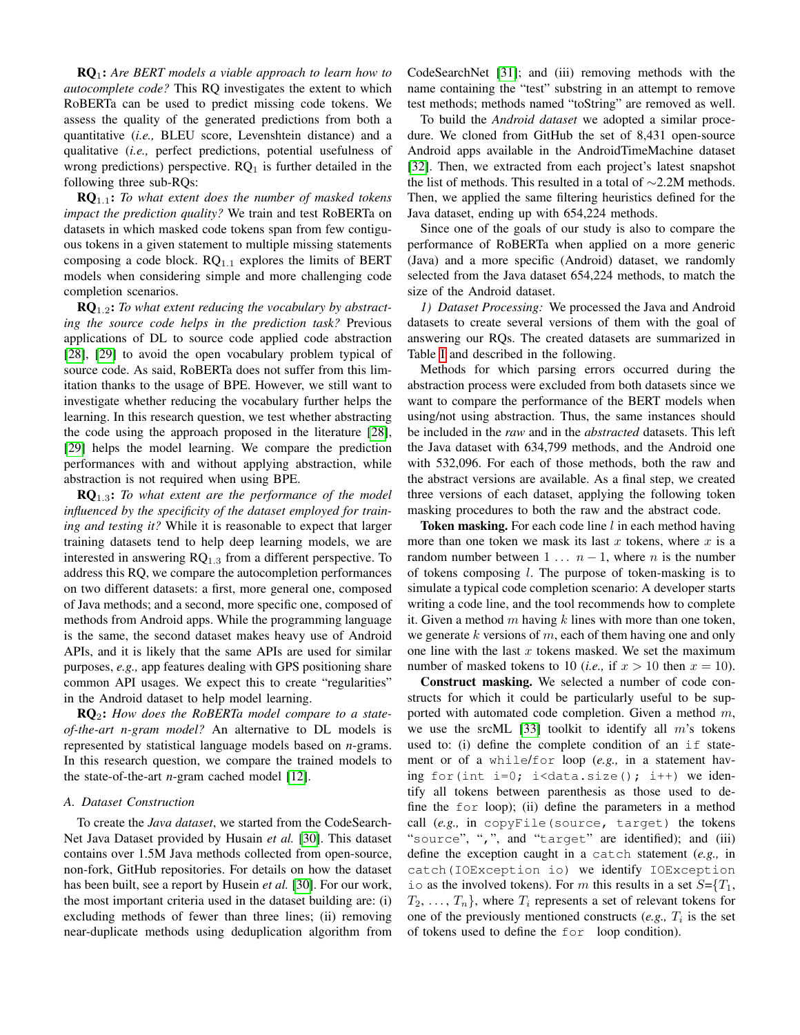RQ1: *Are BERT models a viable approach to learn how to autocomplete code?* This RQ investigates the extent to which RoBERTa can be used to predict missing code tokens. We assess the quality of the generated predictions from both a quantitative (*i.e.,* BLEU score, Levenshtein distance) and a qualitative (*i.e.,* perfect predictions, potential usefulness of wrong predictions) perspective.  $RQ_1$  is further detailed in the following three sub-RQs:

RQ1.1: *To what extent does the number of masked tokens impact the prediction quality?* We train and test RoBERTa on datasets in which masked code tokens span from few contiguous tokens in a given statement to multiple missing statements composing a code block.  $RQ_{1,1}$  explores the limits of BERT models when considering simple and more challenging code completion scenarios.

RQ1.2: *To what extent reducing the vocabulary by abstracting the source code helps in the prediction task?* Previous applications of DL to source code applied code abstraction [\[28\]](#page-10-22), [\[29\]](#page-10-23) to avoid the open vocabulary problem typical of source code. As said, RoBERTa does not suffer from this limitation thanks to the usage of BPE. However, we still want to investigate whether reducing the vocabulary further helps the learning. In this research question, we test whether abstracting the code using the approach proposed in the literature [\[28\]](#page-10-22), [\[29\]](#page-10-23) helps the model learning. We compare the prediction performances with and without applying abstraction, while abstraction is not required when using BPE.

RQ1.3: *To what extent are the performance of the model influenced by the specificity of the dataset employed for training and testing it?* While it is reasonable to expect that larger training datasets tend to help deep learning models, we are interested in answering  $RQ_{1,3}$  from a different perspective. To address this RQ, we compare the autocompletion performances on two different datasets: a first, more general one, composed of Java methods; and a second, more specific one, composed of methods from Android apps. While the programming language is the same, the second dataset makes heavy use of Android APIs, and it is likely that the same APIs are used for similar purposes, *e.g.,* app features dealing with GPS positioning share common API usages. We expect this to create "regularities" in the Android dataset to help model learning.

RQ2: *How does the RoBERTa model compare to a stateof-the-art n-gram model?* An alternative to DL models is represented by statistical language models based on *n*-grams. In this research question, we compare the trained models to the state-of-the-art *n*-gram cached model [\[12\]](#page-10-6).

# *A. Dataset Construction*

To create the *Java dataset*, we started from the CodeSearch-Net Java Dataset provided by Husain *et al.* [\[30\]](#page-10-24). This dataset contains over 1.5M Java methods collected from open-source, non-fork, GitHub repositories. For details on how the dataset has been built, see a report by Husein *et al.* [\[30\]](#page-10-24). For our work, the most important criteria used in the dataset building are: (i) excluding methods of fewer than three lines; (ii) removing near-duplicate methods using deduplication algorithm from CodeSearchNet [\[31\]](#page-10-25); and (iii) removing methods with the name containing the "test" substring in an attempt to remove test methods; methods named "toString" are removed as well.

To build the *Android dataset* we adopted a similar procedure. We cloned from GitHub the set of 8,431 open-source Android apps available in the AndroidTimeMachine dataset [\[32\]](#page-10-26). Then, we extracted from each project's latest snapshot the list of methods. This resulted in a total of ∼2.2M methods. Then, we applied the same filtering heuristics defined for the Java dataset, ending up with 654,224 methods.

Since one of the goals of our study is also to compare the performance of RoBERTa when applied on a more generic (Java) and a more specific (Android) dataset, we randomly selected from the Java dataset 654,224 methods, to match the size of the Android dataset.

<span id="page-2-0"></span>*1) Dataset Processing:* We processed the Java and Android datasets to create several versions of them with the goal of answering our RQs. The created datasets are summarized in Table [I](#page-3-0) and described in the following.

Methods for which parsing errors occurred during the abstraction process were excluded from both datasets since we want to compare the performance of the BERT models when using/not using abstraction. Thus, the same instances should be included in the *raw* and in the *abstracted* datasets. This left the Java dataset with 634,799 methods, and the Android one with 532,096. For each of those methods, both the raw and the abstract versions are available. As a final step, we created three versions of each dataset, applying the following token masking procedures to both the raw and the abstract code.

**Token masking.** For each code line  $l$  in each method having more than one token we mask its last  $x$  tokens, where  $x$  is a random number between 1 ...  $n-1$ , where n is the number of tokens composing  $l$ . The purpose of token-masking is to simulate a typical code completion scenario: A developer starts writing a code line, and the tool recommends how to complete it. Given a method m having  $k$  lines with more than one token, we generate  $k$  versions of  $m$ , each of them having one and only one line with the last  $x$  tokens masked. We set the maximum number of masked tokens to 10 (*i.e.*, if  $x > 10$  then  $x = 10$ ).

Construct masking. We selected a number of code constructs for which it could be particularly useful to be supported with automated code completion. Given a method m, we use the srcML [\[33\]](#page-10-27) toolkit to identify all  $m$ 's tokens used to: (i) define the complete condition of an if statement or of a while/for loop (*e.g.,* in a statement having for(int i=0; i<data.size(); i++) we identify all tokens between parenthesis as those used to define the for loop); (ii) define the parameters in a method call (*e.g.,* in copyFile(source, target) the tokens "source", ",", and "target" are identified); and (iii) define the exception caught in a catch statement (*e.g.,* in catch(IOException io) we identify IOException io as the involved tokens). For m this results in a set  $S=\{T_1,$  $T_2, \ldots, T_n$ , where  $T_i$  represents a set of relevant tokens for one of the previously mentioned constructs  $(e.g., T_i)$  is the set of tokens used to define the for loop condition).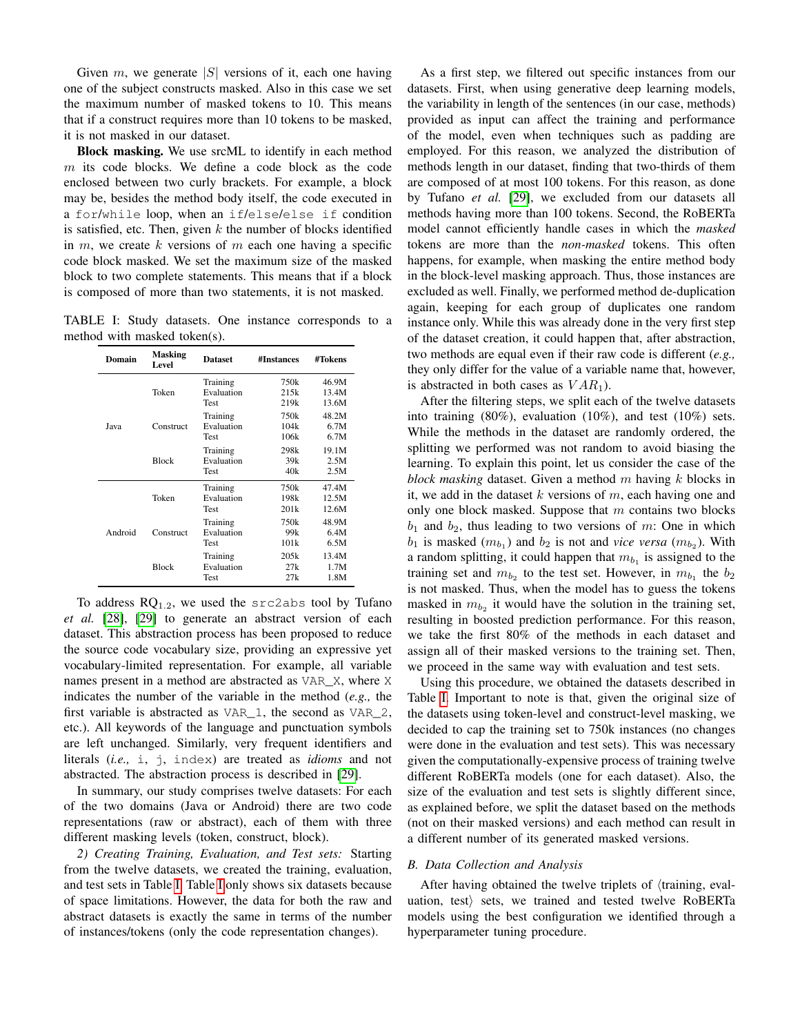Given m, we generate  $|S|$  versions of it, each one having one of the subject constructs masked. Also in this case we set the maximum number of masked tokens to 10. This means that if a construct requires more than 10 tokens to be masked, it is not masked in our dataset.

Block masking. We use srcML to identify in each method  $m$  its code blocks. We define a code block as the code enclosed between two curly brackets. For example, a block may be, besides the method body itself, the code executed in a for/while loop, when an if/else/else if condition is satisfied, etc. Then, given  $k$  the number of blocks identified in  $m$ , we create k versions of  $m$  each one having a specific code block masked. We set the maximum size of the masked block to two complete statements. This means that if a block is composed of more than two statements, it is not masked.

<span id="page-3-0"></span>TABLE I: Study datasets. One instance corresponds to a method with masked token(s).

| Domain      | <b>Masking</b><br>Level | <b>Dataset</b>                                                                                                                                                                                                                                                                                    | #Instances            | #Tokens                 |
|-------------|-------------------------|---------------------------------------------------------------------------------------------------------------------------------------------------------------------------------------------------------------------------------------------------------------------------------------------------|-----------------------|-------------------------|
|             | Token                   | Training<br>Evaluation<br>Test                                                                                                                                                                                                                                                                    | 750k<br>21.5k<br>219k | 46.9M<br>13.4M<br>13.6M |
| <b>Iava</b> | Construct               | 750k<br>Training<br>Evaluation<br>104k<br>106k<br>Test<br>Training<br>298k<br>Evaluation<br>39k<br>Test<br>40k<br>Training<br>750k<br>Evaluation<br>198k<br>Test<br>201k<br>750k<br>Training<br>Evaluation<br>99k<br>101k<br><b>Test</b><br>Training<br>20.5k<br>Evaluation<br>27k<br>Test<br>27k | 48.2M<br>6.7M<br>6.7M |                         |
|             | <b>Block</b>            |                                                                                                                                                                                                                                                                                                   |                       | 19.1M<br>2.5M<br>2.5M   |
|             | Token                   |                                                                                                                                                                                                                                                                                                   |                       | 47.4M<br>12.5M<br>12.6M |
| Android     | Construct               |                                                                                                                                                                                                                                                                                                   |                       | 48.9M<br>6.4M<br>6.5M   |
|             | <b>Block</b>            |                                                                                                                                                                                                                                                                                                   |                       | 13.4M<br>1.7M<br>1.8M   |

To address  $RQ_{1,2}$ , we used the src2abs tool by Tufano *et al.* [\[28\]](#page-10-22), [\[29\]](#page-10-23) to generate an abstract version of each dataset. This abstraction process has been proposed to reduce the source code vocabulary size, providing an expressive yet vocabulary-limited representation. For example, all variable names present in a method are abstracted as VAR\_X, where X indicates the number of the variable in the method (*e.g.,* the first variable is abstracted as VAR\_1, the second as VAR\_2, etc.). All keywords of the language and punctuation symbols are left unchanged. Similarly, very frequent identifiers and literals (*i.e.,* i, j, index) are treated as *idioms* and not abstracted. The abstraction process is described in [\[29\]](#page-10-23).

In summary, our study comprises twelve datasets: For each of the two domains (Java or Android) there are two code representations (raw or abstract), each of them with three different masking levels (token, construct, block).

*2) Creating Training, Evaluation, and Test sets:* Starting from the twelve datasets, we created the training, evaluation, and test sets in Table [I.](#page-3-0) Table [I](#page-3-0) only shows six datasets because of space limitations. However, the data for both the raw and abstract datasets is exactly the same in terms of the number of instances/tokens (only the code representation changes).

As a first step, we filtered out specific instances from our datasets. First, when using generative deep learning models, the variability in length of the sentences (in our case, methods) provided as input can affect the training and performance of the model, even when techniques such as padding are employed. For this reason, we analyzed the distribution of methods length in our dataset, finding that two-thirds of them are composed of at most 100 tokens. For this reason, as done by Tufano *et al.* [\[29\]](#page-10-23), we excluded from our datasets all methods having more than 100 tokens. Second, the RoBERTa model cannot efficiently handle cases in which the *masked* tokens are more than the *non-masked* tokens. This often happens, for example, when masking the entire method body in the block-level masking approach. Thus, those instances are excluded as well. Finally, we performed method de-duplication again, keeping for each group of duplicates one random instance only. While this was already done in the very first step of the dataset creation, it could happen that, after abstraction, two methods are equal even if their raw code is different (*e.g.,* they only differ for the value of a variable name that, however, is abstracted in both cases as  $VAR<sub>1</sub>$ ).

After the filtering steps, we split each of the twelve datasets into training (80%), evaluation (10%), and test (10%) sets. While the methods in the dataset are randomly ordered, the splitting we performed was not random to avoid biasing the learning. To explain this point, let us consider the case of the *block masking* dataset. Given a method m having k blocks in it, we add in the dataset  $k$  versions of  $m$ , each having one and only one block masked. Suppose that  $m$  contains two blocks  $b_1$  and  $b_2$ , thus leading to two versions of m: One in which  $b_1$  is masked  $(m_{b_1})$  and  $b_2$  is not and *vice versa*  $(m_{b_2})$ . With a random splitting, it could happen that  $m_{b_1}$  is assigned to the training set and  $m_{b_2}$  to the test set. However, in  $m_{b_1}$  the  $b_2$ is not masked. Thus, when the model has to guess the tokens masked in  $m_{b_2}$  it would have the solution in the training set, resulting in boosted prediction performance. For this reason, we take the first 80% of the methods in each dataset and assign all of their masked versions to the training set. Then, we proceed in the same way with evaluation and test sets.

Using this procedure, we obtained the datasets described in Table [I.](#page-3-0) Important to note is that, given the original size of the datasets using token-level and construct-level masking, we decided to cap the training set to 750k instances (no changes were done in the evaluation and test sets). This was necessary given the computationally-expensive process of training twelve different RoBERTa models (one for each dataset). Also, the size of the evaluation and test sets is slightly different since, as explained before, we split the dataset based on the methods (not on their masked versions) and each method can result in a different number of its generated masked versions.

# <span id="page-3-1"></span>*B. Data Collection and Analysis*

After having obtained the twelve triplets of  $\langle \text{training}, \text{eval-} \rangle$ uation, test) sets, we trained and tested twelve RoBERTa models using the best configuration we identified through a hyperparameter tuning procedure.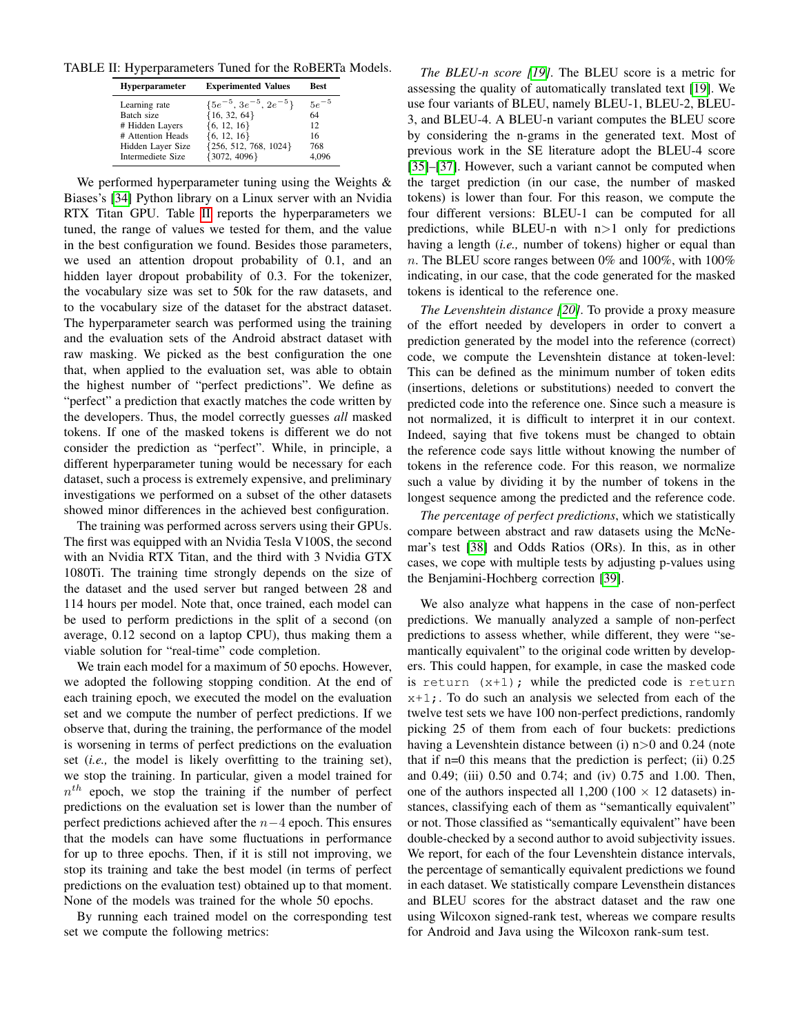<span id="page-4-0"></span>TABLE II: Hyperparameters Tuned for the RoBERTa Models.

| <b>Hyperparameter</b> | <b>Experimented Values</b>      | <b>Best</b> |
|-----------------------|---------------------------------|-------------|
| Learning rate         | $\{5e^{-5}, 3e^{-5}, 2e^{-5}\}$ | $5e^{-5}$   |
| Batch size            | ${16, 32, 64}$                  | 64          |
| # Hidden Layers       | ${6, 12, 16}$                   | 12          |
| # Attention Heads     | $\{6, 12, 16\}$                 | 16          |
| Hidden Layer Size     | ${256, 512, 768, 1024}$         | 768         |
| Intermediete Size     | ${3072, 4096}$                  | 4.096       |

We performed hyperparameter tuning using the Weights & Biases's [\[34\]](#page-10-28) Python library on a Linux server with an Nvidia RTX Titan GPU. Table [II](#page-4-0) reports the hyperparameters we tuned, the range of values we tested for them, and the value in the best configuration we found. Besides those parameters, we used an attention dropout probability of 0.1, and an hidden layer dropout probability of 0.3. For the tokenizer, the vocabulary size was set to 50k for the raw datasets, and to the vocabulary size of the dataset for the abstract dataset. The hyperparameter search was performed using the training and the evaluation sets of the Android abstract dataset with raw masking. We picked as the best configuration the one that, when applied to the evaluation set, was able to obtain the highest number of "perfect predictions". We define as "perfect" a prediction that exactly matches the code written by the developers. Thus, the model correctly guesses *all* masked tokens. If one of the masked tokens is different we do not consider the prediction as "perfect". While, in principle, a different hyperparameter tuning would be necessary for each dataset, such a process is extremely expensive, and preliminary investigations we performed on a subset of the other datasets showed minor differences in the achieved best configuration.

The training was performed across servers using their GPUs. The first was equipped with an Nvidia Tesla V100S, the second with an Nvidia RTX Titan, and the third with 3 Nvidia GTX 1080Ti. The training time strongly depends on the size of the dataset and the used server but ranged between 28 and 114 hours per model. Note that, once trained, each model can be used to perform predictions in the split of a second (on average, 0.12 second on a laptop CPU), thus making them a viable solution for "real-time" code completion.

We train each model for a maximum of 50 epochs. However, we adopted the following stopping condition. At the end of each training epoch, we executed the model on the evaluation set and we compute the number of perfect predictions. If we observe that, during the training, the performance of the model is worsening in terms of perfect predictions on the evaluation set (*i.e.,* the model is likely overfitting to the training set), we stop the training. In particular, given a model trained for  $n^{th}$  epoch, we stop the training if the number of perfect predictions on the evaluation set is lower than the number of perfect predictions achieved after the  $n-4$  epoch. This ensures that the models can have some fluctuations in performance for up to three epochs. Then, if it is still not improving, we stop its training and take the best model (in terms of perfect predictions on the evaluation test) obtained up to that moment. None of the models was trained for the whole 50 epochs.

By running each trained model on the corresponding test set we compute the following metrics:

*The BLEU-n score [\[19\]](#page-10-13)*. The BLEU score is a metric for assessing the quality of automatically translated text [\[19\]](#page-10-13). We use four variants of BLEU, namely BLEU-1, BLEU-2, BLEU-3, and BLEU-4. A BLEU-n variant computes the BLEU score by considering the n-grams in the generated text. Most of previous work in the SE literature adopt the BLEU-4 score [\[35\]](#page-10-29)–[\[37\]](#page-10-30). However, such a variant cannot be computed when the target prediction (in our case, the number of masked tokens) is lower than four. For this reason, we compute the four different versions: BLEU-1 can be computed for all predictions, while BLEU-n with  $n>1$  only for predictions having a length (*i.e.,* number of tokens) higher or equal than n. The BLEU score ranges between  $0\%$  and  $100\%$ , with  $100\%$ indicating, in our case, that the code generated for the masked tokens is identical to the reference one.

*The Levenshtein distance [\[20\]](#page-10-14)*. To provide a proxy measure of the effort needed by developers in order to convert a prediction generated by the model into the reference (correct) code, we compute the Levenshtein distance at token-level: This can be defined as the minimum number of token edits (insertions, deletions or substitutions) needed to convert the predicted code into the reference one. Since such a measure is not normalized, it is difficult to interpret it in our context. Indeed, saying that five tokens must be changed to obtain the reference code says little without knowing the number of tokens in the reference code. For this reason, we normalize such a value by dividing it by the number of tokens in the longest sequence among the predicted and the reference code.

*The percentage of perfect predictions*, which we statistically compare between abstract and raw datasets using the McNemar's test [\[38\]](#page-10-31) and Odds Ratios (ORs). In this, as in other cases, we cope with multiple tests by adjusting p-values using the Benjamini-Hochberg correction [\[39\]](#page-10-32).

We also analyze what happens in the case of non-perfect predictions. We manually analyzed a sample of non-perfect predictions to assess whether, while different, they were "semantically equivalent" to the original code written by developers. This could happen, for example, in case the masked code is return  $(x+1)$ ; while the predicted code is return  $x+1$ ;. To do such an analysis we selected from each of the twelve test sets we have 100 non-perfect predictions, randomly picking 25 of them from each of four buckets: predictions having a Levenshtein distance between (i)  $n>0$  and 0.24 (note that if  $n=0$  this means that the prediction is perfect; (ii)  $0.25$ and 0.49; (iii) 0.50 and 0.74; and (iv) 0.75 and 1.00. Then, one of the authors inspected all  $1,200$  (100  $\times$  12 datasets) instances, classifying each of them as "semantically equivalent" or not. Those classified as "semantically equivalent" have been double-checked by a second author to avoid subjectivity issues. We report, for each of the four Levenshtein distance intervals, the percentage of semantically equivalent predictions we found in each dataset. We statistically compare Levensthein distances and BLEU scores for the abstract dataset and the raw one using Wilcoxon signed-rank test, whereas we compare results for Android and Java using the Wilcoxon rank-sum test.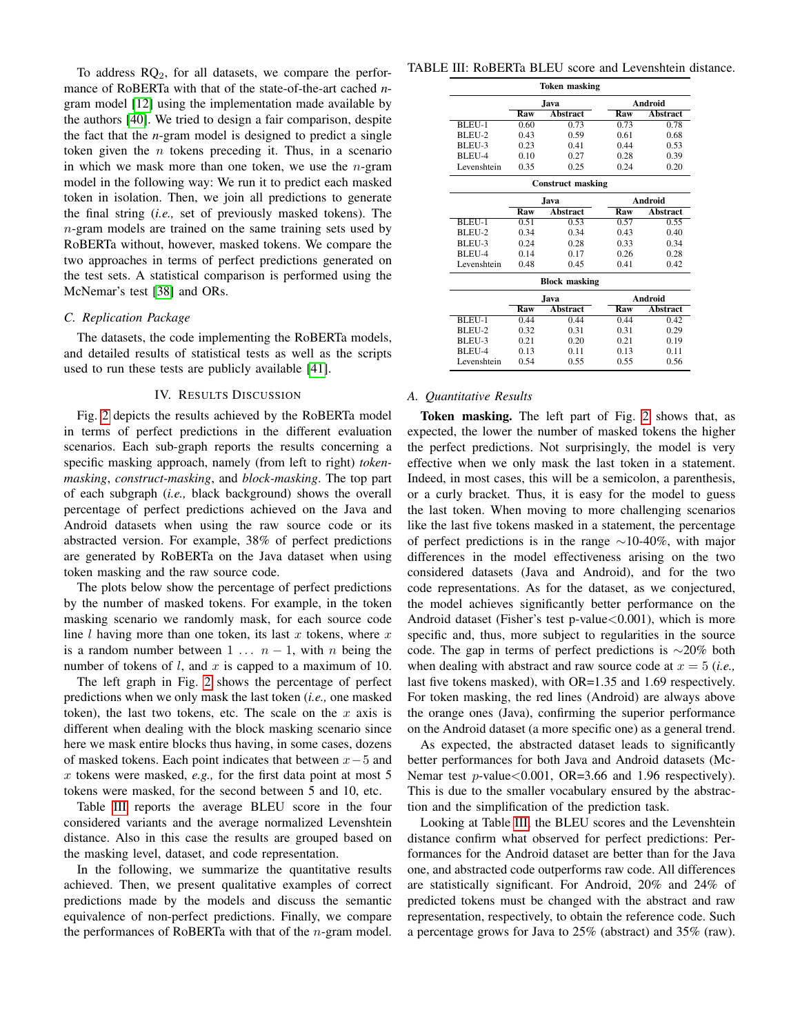To address  $RQ_2$ , for all datasets, we compare the performance of RoBERTa with that of the state-of-the-art cached *n*gram model [\[12\]](#page-10-6) using the implementation made available by the authors [\[40\]](#page-10-33). We tried to design a fair comparison, despite the fact that the *n*-gram model is designed to predict a single token given the  $n$  tokens preceding it. Thus, in a scenario in which we mask more than one token, we use the  $n$ -gram model in the following way: We run it to predict each masked token in isolation. Then, we join all predictions to generate the final string (*i.e.,* set of previously masked tokens). The  $n$ -gram models are trained on the same training sets used by RoBERTa without, however, masked tokens. We compare the two approaches in terms of perfect predictions generated on the test sets. A statistical comparison is performed using the McNemar's test [\[38\]](#page-10-31) and ORs.

# *C. Replication Package*

The datasets, the code implementing the RoBERTa models, and detailed results of statistical tests as well as the scripts used to run these tests are publicly available [\[41\]](#page-10-34).

# IV. RESULTS DISCUSSION

Fig. [2](#page-6-0) depicts the results achieved by the RoBERTa model in terms of perfect predictions in the different evaluation scenarios. Each sub-graph reports the results concerning a specific masking approach, namely (from left to right) *tokenmasking*, *construct-masking*, and *block-masking*. The top part of each subgraph (*i.e.,* black background) shows the overall percentage of perfect predictions achieved on the Java and Android datasets when using the raw source code or its abstracted version. For example, 38% of perfect predictions are generated by RoBERTa on the Java dataset when using token masking and the raw source code.

The plots below show the percentage of perfect predictions by the number of masked tokens. For example, in the token masking scenario we randomly mask, for each source code line  $l$  having more than one token, its last  $x$  tokens, where  $x$ is a random number between 1 ...  $n-1$ , with n being the number of tokens of  $l$ , and  $x$  is capped to a maximum of 10.

The left graph in Fig. [2](#page-6-0) shows the percentage of perfect predictions when we only mask the last token (*i.e.,* one masked token), the last two tokens, etc. The scale on the  $x$  axis is different when dealing with the block masking scenario since here we mask entire blocks thus having, in some cases, dozens of masked tokens. Each point indicates that between  $x-5$  and x tokens were masked, *e.g.,* for the first data point at most 5 tokens were masked, for the second between 5 and 10, etc.

Table [III](#page-5-0) reports the average BLEU score in the four considered variants and the average normalized Levenshtein distance. Also in this case the results are grouped based on the masking level, dataset, and code representation.

In the following, we summarize the quantitative results achieved. Then, we present qualitative examples of correct predictions made by the models and discuss the semantic equivalence of non-perfect predictions. Finally, we compare the performances of RoBERTa with that of the  $n$ -gram model.

<span id="page-5-0"></span>TABLE III: RoBERTa BLEU score and Levenshtein distance.

| <b>Token masking</b>     |       |                 |         |                 |  |
|--------------------------|-------|-----------------|---------|-----------------|--|
|                          | .Iava |                 | Android |                 |  |
|                          | Raw   | <b>Abstract</b> | Raw     | <b>Abstract</b> |  |
| <b>BLEU-1</b>            | 0.60  | 0.73            | 0.73    | 0.78            |  |
| BLEU-2                   | 0.43  | 0.59            | 0.61    | 0.68            |  |
| BLEU-3                   | 0.23  | 0.41            | 0.44    | 0.53            |  |
| BLEU-4                   | 0.10  | 0.27            | 0.28    | 0.39            |  |
| Levenshtein              | 0.35  | 0.25            | 0.24    | 0.20            |  |
| <b>Construct masking</b> |       |                 |         |                 |  |
|                          | .Iava |                 |         | Android         |  |
|                          | Raw   | <b>Abstract</b> | Raw     | <b>Abstract</b> |  |
| BLEU-1                   | 0.51  | 0.53            | 0.57    | 0.55            |  |
| BLEU-2                   | 0.34  | 0.34            | 0.43    | 0.40            |  |
| BLEU-3                   | 0.24  | 0.28            | 0.33    | 0.34<br>0.28    |  |
| BLEU-4                   | 0.14  | 0.17            | 0.26    |                 |  |
| Levenshtein              | 0.48  | 0.45            | 0.41    | 0.42            |  |
| <b>Block masking</b>     |       |                 |         |                 |  |
|                          |       | .Iava           |         | Android         |  |
|                          | Raw   | <b>Abstract</b> | Raw     | <b>Abstract</b> |  |
| BLEU-1                   | 0.44  | 0.44            | 0.44    | 0.42            |  |
| BLEU-2                   | 0.32  | 0.31            | 0.31    | 0.29            |  |
| BLEU-3                   | 0.21  | 0.20            | 0.21    | 0.19            |  |
| BLEU-4                   | 0.13  | 0.11            | 0.13    | 0.11            |  |
| Levenshtein              | 0.54  | 0.55            | 0.55    | 0.56            |  |

# *A. Quantitative Results*

Token masking. The left part of Fig. [2](#page-6-0) shows that, as expected, the lower the number of masked tokens the higher the perfect predictions. Not surprisingly, the model is very effective when we only mask the last token in a statement. Indeed, in most cases, this will be a semicolon, a parenthesis, or a curly bracket. Thus, it is easy for the model to guess the last token. When moving to more challenging scenarios like the last five tokens masked in a statement, the percentage of perfect predictions is in the range  $\sim$ 10-40%, with major differences in the model effectiveness arising on the two considered datasets (Java and Android), and for the two code representations. As for the dataset, as we conjectured, the model achieves significantly better performance on the Android dataset (Fisher's test p-value $< 0.001$ ), which is more specific and, thus, more subject to regularities in the source code. The gap in terms of perfect predictions is ∼20% both when dealing with abstract and raw source code at  $x = 5$  (*i.e.*, last five tokens masked), with OR=1.35 and 1.69 respectively. For token masking, the red lines (Android) are always above the orange ones (Java), confirming the superior performance on the Android dataset (a more specific one) as a general trend.

As expected, the abstracted dataset leads to significantly better performances for both Java and Android datasets (Mc-Nemar test  $p$ -value $< 0.001$ , OR=3.66 and 1.96 respectively). This is due to the smaller vocabulary ensured by the abstraction and the simplification of the prediction task.

Looking at Table [III,](#page-5-0) the BLEU scores and the Levenshtein distance confirm what observed for perfect predictions: Performances for the Android dataset are better than for the Java one, and abstracted code outperforms raw code. All differences are statistically significant. For Android, 20% and 24% of predicted tokens must be changed with the abstract and raw representation, respectively, to obtain the reference code. Such a percentage grows for Java to 25% (abstract) and 35% (raw).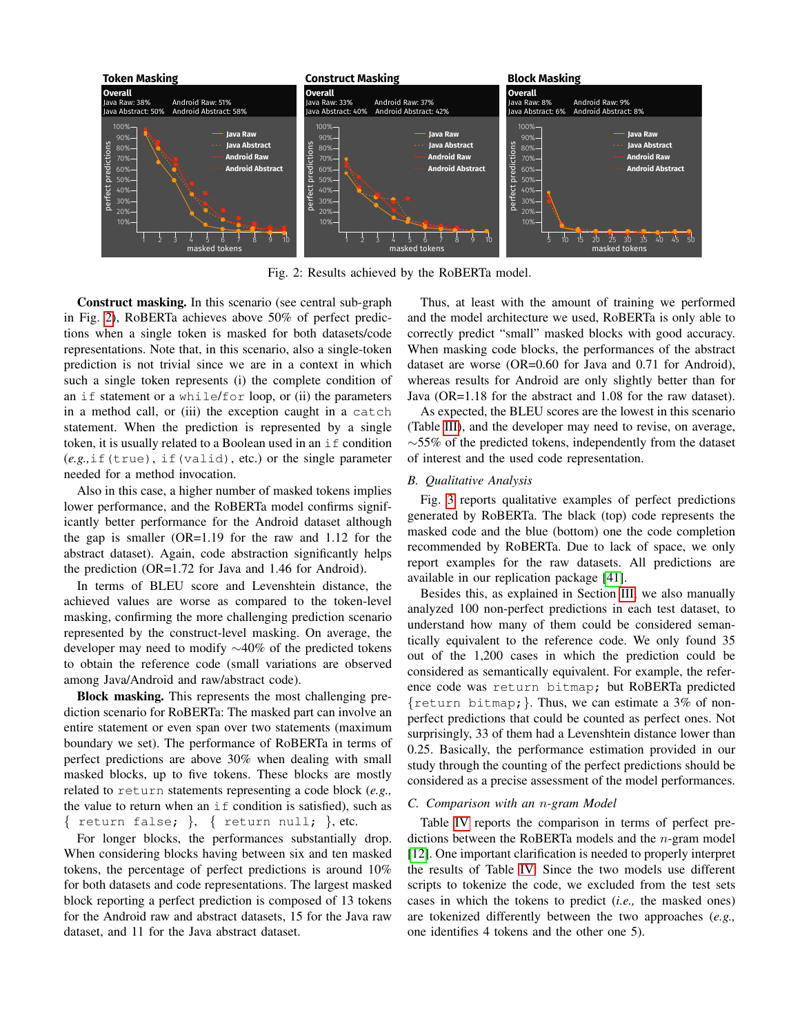<span id="page-6-0"></span>

Fig. 2: Results achieved by the RoBERTa model.

Construct masking. In this scenario (see central sub-graph in Fig. [2\)](#page-6-0), RoBERTa achieves above 50% of perfect predictions when a single token is masked for both datasets/code representations. Note that, in this scenario, also a single-token prediction is not trivial since we are in a context in which such a single token represents (i) the complete condition of an if statement or a while/for loop, or (ii) the parameters in a method call, or (iii) the exception caught in a catch statement. When the prediction is represented by a single token, it is usually related to a Boolean used in an if condition (*e.g.,*if(true), if(valid), etc.) or the single parameter needed for a method invocation.

Also in this case, a higher number of masked tokens implies lower performance, and the RoBERTa model confirms significantly better performance for the Android dataset although the gap is smaller (OR=1.19 for the raw and 1.12 for the abstract dataset). Again, code abstraction significantly helps the prediction (OR=1.72 for Java and 1.46 for Android).

In terms of BLEU score and Levenshtein distance, the achieved values are worse as compared to the token-level masking, confirming the more challenging prediction scenario represented by the construct-level masking. On average, the developer may need to modify ∼40% of the predicted tokens to obtain the reference code (small variations are observed among Java/Android and raw/abstract code).

Block masking. This represents the most challenging prediction scenario for RoBERTa: The masked part can involve an entire statement or even span over two statements (maximum boundary we set). The performance of RoBERTa in terms of perfect predictions are above 30% when dealing with small masked blocks, up to five tokens. These blocks are mostly related to return statements representing a code block (*e.g.,* the value to return when an  $if$  condition is satisfied), such as { return false; }, { return null; }, etc.

For longer blocks, the performances substantially drop. When considering blocks having between six and ten masked tokens, the percentage of perfect predictions is around 10% for both datasets and code representations. The largest masked block reporting a perfect prediction is composed of 13 tokens for the Android raw and abstract datasets, 15 for the Java raw dataset, and 11 for the Java abstract dataset.

Thus, at least with the amount of training we performed and the model architecture we used, RoBERTa is only able to correctly predict "small" masked blocks with good accuracy. When masking code blocks, the performances of the abstract dataset are worse (OR=0.60 for Java and 0.71 for Android), whereas results for Android are only slightly better than for Java (OR=1.18 for the abstract and 1.08 for the raw dataset).

As expected, the BLEU scores are the lowest in this scenario (Table [III\)](#page-5-0), and the developer may need to revise, on average, ∼55% of the predicted tokens, independently from the dataset of interest and the used code representation.

# *B. Qualitative Analysis*

Fig. [3](#page-7-0) reports qualitative examples of perfect predictions generated by RoBERTa. The black (top) code represents the masked code and the blue (bottom) one the code completion recommended by RoBERTa. Due to lack of space, we only report examples for the raw datasets. All predictions are available in our replication package [\[41\]](#page-10-34).

Besides this, as explained in Section [III,](#page-1-1) we also manually analyzed 100 non-perfect predictions in each test dataset, to understand how many of them could be considered semantically equivalent to the reference code. We only found 35 out of the 1,200 cases in which the prediction could be considered as semantically equivalent. For example, the reference code was return bitmap; but RoBERTa predicted  $\{$ return bitmap;  $\}$ . Thus, we can estimate a 3% of nonperfect predictions that could be counted as perfect ones. Not surprisingly, 33 of them had a Levenshtein distance lower than 0.25. Basically, the performance estimation provided in our study through the counting of the perfect predictions should be considered as a precise assessment of the model performances.

# *C. Comparison with an* n*-gram Model*

Table [IV](#page-7-1) reports the comparison in terms of perfect predictions between the RoBERTa models and the  $n$ -gram model [\[12\]](#page-10-6). One important clarification is needed to properly interpret the results of Table [IV.](#page-7-1) Since the two models use different scripts to tokenize the code, we excluded from the test sets cases in which the tokens to predict (*i.e.,* the masked ones) are tokenized differently between the two approaches (*e.g.,* one identifies 4 tokens and the other one 5).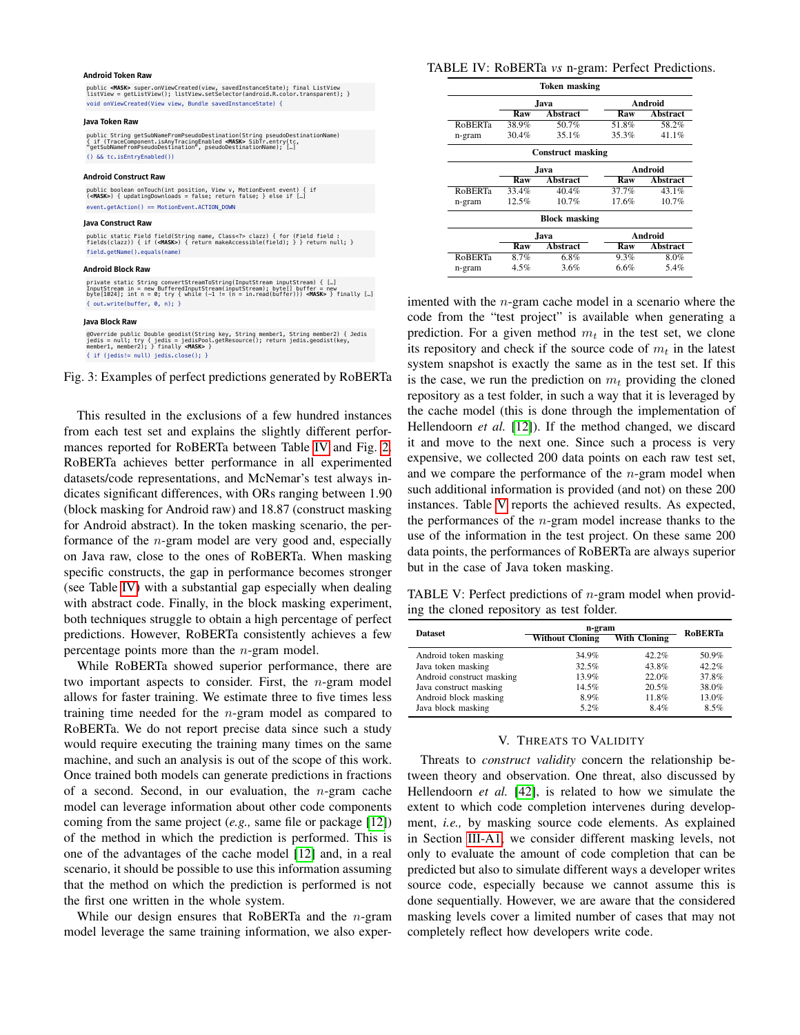#### <span id="page-7-0"></span>**Android Token Raw**

public **<MASK>** super.onViewCreated(view, savedInstanceState); final ListView<br>listView = qetListView(); listView.setSelector(android.R.color.transparent); } void onViewCreated(View view, Bundle savedInstanceState) {

#### **Java Token Raw**

public String getSubNameFromPseudoDestination(String pseudoDestinationName)<br>{ if (TraceComponent.isAnyTracingEnabled <M**ASK>** SibTr.entry(tc,<br>"getSubNameFromPseudoDestination", pseudoDestinationName); […] () && tc.isEntryEnabled())

#### **Android Construct Raw**

public boolean onTouch(int position, View v, MotionEvent event) { if (**<MASK>**) { updatingDownloads = false; return false; } else if […] event.getAction() == MotionEvent.ACTION\_DOWN

#### **Java Construct Raw**

public static Field field(String name, Class<?> clazz) { for (Field field : fields(clazz)) { if (**<MASK>**) { return makeAccessible(field); } } return null; } field.getName().equals(name)

#### **Android Block Raw**

private static String convertStreamToString(InputStream inputStream) { […] InputStream in = new BufferedInputStream(inputStream); byte[] buffer = new byte[1024]; int n = 0; try { while (-1 != (n = in.read(buffer))) **<MASK>** } finally […] { out.write(buffer, 0, n); }

### **Java Block Raw**

@Override public Double geodist(String key, String member1, String member2) { Jedis<br>jedis = null; try { jedis = jedisPool.getResource(); return jedis.geodist(key,<br>member1, member2); } finally **<MASK>** } { if (jedis!= null) jedis.close(); }

Fig. 3: Examples of perfect predictions generated by RoBERTa

This resulted in the exclusions of a few hundred instances from each test set and explains the slightly different performances reported for RoBERTa between Table [IV](#page-7-1) and Fig. [2.](#page-6-0) RoBERTa achieves better performance in all experimented datasets/code representations, and McNemar's test always indicates significant differences, with ORs ranging between 1.90 (block masking for Android raw) and 18.87 (construct masking for Android abstract). In the token masking scenario, the performance of the n-gram model are very good and, especially on Java raw, close to the ones of RoBERTa. When masking specific constructs, the gap in performance becomes stronger (see Table [IV\)](#page-7-1) with a substantial gap especially when dealing with abstract code. Finally, in the block masking experiment, both techniques struggle to obtain a high percentage of perfect predictions. However, RoBERTa consistently achieves a few percentage points more than the  $n$ -gram model.

While RoBERTa showed superior performance, there are two important aspects to consider. First, the  $n$ -gram model allows for faster training. We estimate three to five times less training time needed for the n-gram model as compared to RoBERTa. We do not report precise data since such a study would require executing the training many times on the same machine, and such an analysis is out of the scope of this work. Once trained both models can generate predictions in fractions of a second. Second, in our evaluation, the  $n$ -gram cache model can leverage information about other code components coming from the same project (*e.g.,* same file or package [\[12\]](#page-10-6)) of the method in which the prediction is performed. This is one of the advantages of the cache model [\[12\]](#page-10-6) and, in a real scenario, it should be possible to use this information assuming that the method on which the prediction is performed is not the first one written in the whole system.

While our design ensures that RoBERTa and the  $n$ -gram model leverage the same training information, we also exper-

# <span id="page-7-1"></span>TABLE IV: RoBERTa *vs* n-gram: Perfect Predictions.

|                |                  | <b>Token masking</b>     |         |                 |  |
|----------------|------------------|--------------------------|---------|-----------------|--|
|                |                  | .Iava                    |         | Android         |  |
|                | Raw              | <b>Abstract</b>          | Raw     | Abstract        |  |
| <b>RoBERTa</b> | 38.9%            | 50.7%                    | 51.8%   | 58.2%           |  |
| n-gram         | 30.4%            | 35.1%                    | 35.3%   | 41.1%           |  |
|                |                  | <b>Construct masking</b> |         |                 |  |
|                | Android<br>.Iava |                          |         |                 |  |
|                | Raw              | <b>Abstract</b>          | Raw     | <b>Abstract</b> |  |
| <b>RoBERTa</b> | 33.4%            | 40.4%                    | 37.7%   | 43.1%           |  |
| n-gram         | 12.5%            | 10.7%                    | 17.6%   | 10.7%           |  |
|                |                  | <b>Block masking</b>     |         |                 |  |
|                | Java             |                          | Android |                 |  |
|                | Raw              | <b>Abstract</b>          | Raw     | <b>Abstract</b> |  |
| <b>RoBERTa</b> | 8.7%             | $6.8\%$                  | 9.3%    | 8.0%            |  |
| n-gram         | 4.5%             | 3.6%                     | 6.6%    | 5.4%            |  |

imented with the  $n$ -gram cache model in a scenario where the code from the "test project" is available when generating a prediction. For a given method  $m_t$  in the test set, we clone its repository and check if the source code of  $m_t$  in the latest system snapshot is exactly the same as in the test set. If this is the case, we run the prediction on  $m_t$  providing the cloned repository as a test folder, in such a way that it is leveraged by the cache model (this is done through the implementation of Hellendoorn *et al.* [\[12\]](#page-10-6)). If the method changed, we discard it and move to the next one. Since such a process is very expensive, we collected 200 data points on each raw test set, and we compare the performance of the  $n$ -gram model when such additional information is provided (and not) on these 200 instances. Table [V](#page-7-2) reports the achieved results. As expected, the performances of the  $n$ -gram model increase thanks to the use of the information in the test project. On these same 200 data points, the performances of RoBERTa are always superior but in the case of Java token masking.

<span id="page-7-2"></span>TABLE V: Perfect predictions of  $n$ -gram model when providing the cloned repository as test folder.

| <b>Dataset</b>            | n-gram                 | <b>RoBERTa</b>      |       |
|---------------------------|------------------------|---------------------|-------|
|                           | <b>Without Cloning</b> | <b>With Cloning</b> |       |
| Android token masking     | 34.9%                  | 42.2%               | 50.9% |
| Java token masking        | 32.5%                  | 43.8%               | 42.2% |
| Android construct masking | $13.9\%$               | 22.0%               | 37.8% |
| Java construct masking    | 14.5%                  | 20.5%               | 38.0% |
| Android block masking     | 8.9%                   | 11.8%               | 13.0% |
| Java block masking        | 5.2%                   | 8.4%                | 8.5%  |

# V. THREATS TO VALIDITY

Threats to *construct validity* concern the relationship between theory and observation. One threat, also discussed by Hellendoorn *et al.* [\[42\]](#page-11-0), is related to how we simulate the extent to which code completion intervenes during development, *i.e.,* by masking source code elements. As explained in Section [III-A1,](#page-2-0) we consider different masking levels, not only to evaluate the amount of code completion that can be predicted but also to simulate different ways a developer writes source code, especially because we cannot assume this is done sequentially. However, we are aware that the considered masking levels cover a limited number of cases that may not completely reflect how developers write code.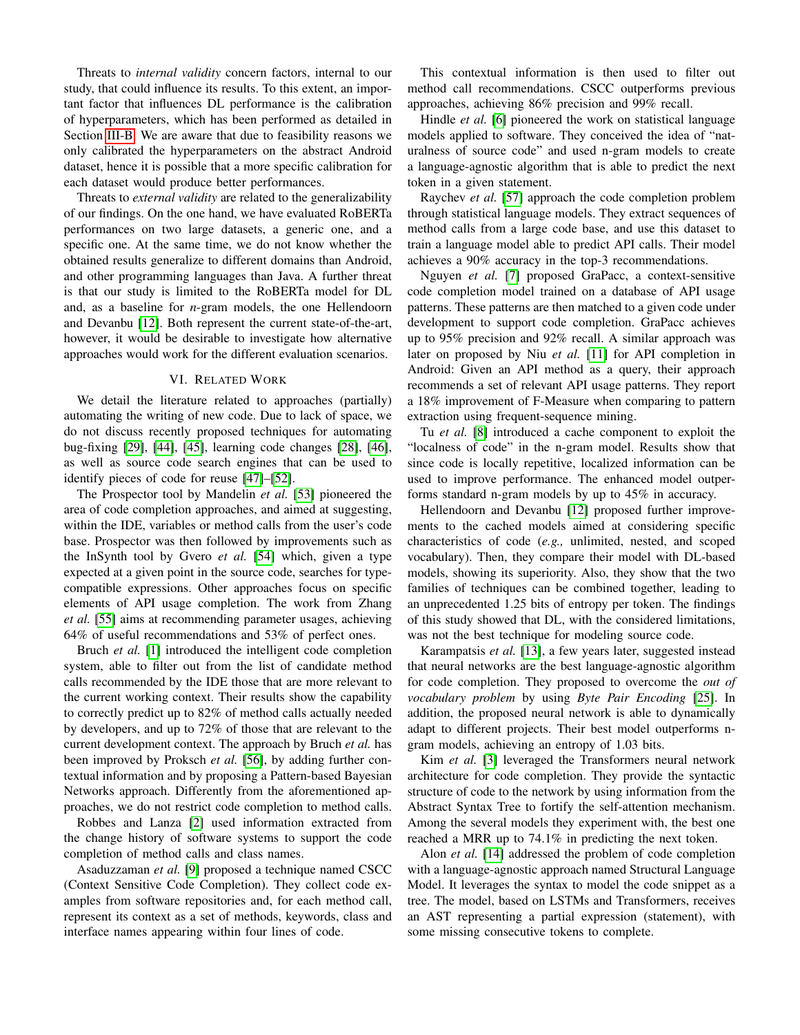Threats to *internal validity* concern factors, internal to our study, that could influence its results. To this extent, an important factor that influences DL performance is the calibration of hyperparameters, which has been performed as detailed in Section [III-B.](#page-3-1) We are aware that due to feasibility reasons we only calibrated the hyperparameters on the abstract Android dataset, hence it is possible that a more specific calibration for each dataset would produce better performances.

Threats to *external validity* are related to the generalizability of our findings. On the one hand, we have evaluated RoBERTa performances on two large datasets, a generic one, and a specific one. At the same time, we do not know whether the obtained results generalize to different domains than Android, and other programming languages than Java. A further threat is that our study is limited to the RoBERTa model for DL and, as a baseline for *n*-gram models, the one Hellendoorn and Devanbu [\[12\]](#page-10-6). Both represent the current state-of-the-art, however, it would be desirable to investigate how alternative approaches would work for the different evaluation scenarios.

# VI. RELATED WORK

We detail the literature related to approaches (partially) automating the writing of new code. Due to lack of space, we do not discuss recently proposed techniques for automating bug-fixing [\[29\]](#page-10-23), [\[44\]](#page-11-1), [\[45\]](#page-11-2), learning code changes [\[28\]](#page-10-22), [\[46\]](#page-11-3), as well as source code search engines that can be used to identify pieces of code for reuse [\[47\]](#page-11-4)–[\[52\]](#page-11-5).

The Prospector tool by Mandelin *et al.* [\[53\]](#page-11-6) pioneered the area of code completion approaches, and aimed at suggesting, within the IDE, variables or method calls from the user's code base. Prospector was then followed by improvements such as the InSynth tool by Gvero *et al.* [\[54\]](#page-11-7) which, given a type expected at a given point in the source code, searches for typecompatible expressions. Other approaches focus on specific elements of API usage completion. The work from Zhang *et al.* [\[55\]](#page-11-8) aims at recommending parameter usages, achieving 64% of useful recommendations and 53% of perfect ones.

Bruch *et al.* [\[1\]](#page-10-0) introduced the intelligent code completion system, able to filter out from the list of candidate method calls recommended by the IDE those that are more relevant to the current working context. Their results show the capability to correctly predict up to 82% of method calls actually needed by developers, and up to 72% of those that are relevant to the current development context. The approach by Bruch *et al.* has been improved by Proksch *et al.* [\[56\]](#page-11-9), by adding further contextual information and by proposing a Pattern-based Bayesian Networks approach. Differently from the aforementioned approaches, we do not restrict code completion to method calls.

Robbes and Lanza [\[2\]](#page-10-4) used information extracted from the change history of software systems to support the code completion of method calls and class names.

Asaduzzaman *et al.* [\[9\]](#page-10-35) proposed a technique named CSCC (Context Sensitive Code Completion). They collect code examples from software repositories and, for each method call, represent its context as a set of methods, keywords, class and interface names appearing within four lines of code.

This contextual information is then used to filter out method call recommendations. CSCC outperforms previous approaches, achieving 86% precision and 99% recall.

Hindle *et al.* [\[6\]](#page-10-5) pioneered the work on statistical language models applied to software. They conceived the idea of "naturalness of source code" and used n-gram models to create a language-agnostic algorithm that is able to predict the next token in a given statement.

Raychev *et al.* [\[57\]](#page-11-10) approach the code completion problem through statistical language models. They extract sequences of method calls from a large code base, and use this dataset to train a language model able to predict API calls. Their model achieves a 90% accuracy in the top-3 recommendations.

Nguyen *et al.* [\[7\]](#page-10-36) proposed GraPacc, a context-sensitive code completion model trained on a database of API usage patterns. These patterns are then matched to a given code under development to support code completion. GraPacc achieves up to 95% precision and 92% recall. A similar approach was later on proposed by Niu *et al.* [\[11\]](#page-10-37) for API completion in Android: Given an API method as a query, their approach recommends a set of relevant API usage patterns. They report a 18% improvement of F-Measure when comparing to pattern extraction using frequent-sequence mining.

Tu *et al.* [\[8\]](#page-10-38) introduced a cache component to exploit the "localness of code" in the n-gram model. Results show that since code is locally repetitive, localized information can be used to improve performance. The enhanced model outperforms standard n-gram models by up to 45% in accuracy.

Hellendoorn and Devanbu [\[12\]](#page-10-6) proposed further improvements to the cached models aimed at considering specific characteristics of code (*e.g.,* unlimited, nested, and scoped vocabulary). Then, they compare their model with DL-based models, showing its superiority. Also, they show that the two families of techniques can be combined together, leading to an unprecedented 1.25 bits of entropy per token. The findings of this study showed that DL, with the considered limitations, was not the best technique for modeling source code.

Karampatsis *et al.* [\[13\]](#page-10-7), a few years later, suggested instead that neural networks are the best language-agnostic algorithm for code completion. They proposed to overcome the *out of vocabulary problem* by using *Byte Pair Encoding* [\[25\]](#page-10-19). In addition, the proposed neural network is able to dynamically adapt to different projects. Their best model outperforms ngram models, achieving an entropy of 1.03 bits.

Kim *et al.* [\[3\]](#page-10-1) leveraged the Transformers neural network architecture for code completion. They provide the syntactic structure of code to the network by using information from the Abstract Syntax Tree to fortify the self-attention mechanism. Among the several models they experiment with, the best one reached a MRR up to 74.1% in predicting the next token.

Alon *et al.* [\[14\]](#page-10-9) addressed the problem of code completion with a language-agnostic approach named Structural Language Model. It leverages the syntax to model the code snippet as a tree. The model, based on LSTMs and Transformers, receives an AST representing a partial expression (statement), with some missing consecutive tokens to complete.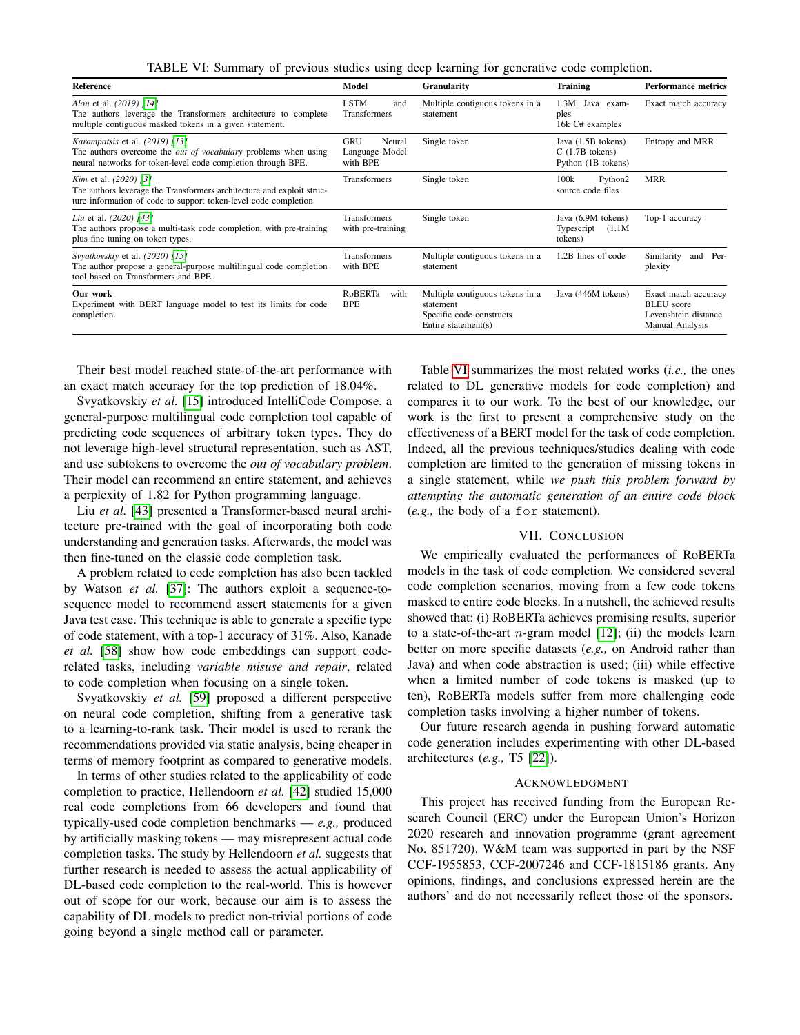TABLE VI: Summary of previous studies using deep learning for generative code completion.

<span id="page-9-0"></span>

| <b>Reference</b>                                                                                                                                                               | Model                                              | <b>Granularity</b>                                                                              | <b>Training</b>                                               | <b>Performance metrics</b>                                                           |
|--------------------------------------------------------------------------------------------------------------------------------------------------------------------------------|----------------------------------------------------|-------------------------------------------------------------------------------------------------|---------------------------------------------------------------|--------------------------------------------------------------------------------------|
| Alon et al. (2019) [14]<br>The authors leverage the Transformers architecture to complete<br>multiple contiguous masked tokens in a given statement.                           | <b>LSTM</b><br>and<br>Transformers                 | Multiple contiguous tokens in a<br>statement                                                    | 1.3M<br>Java exam-<br>ples<br>16k C# examples                 | Exact match accuracy                                                                 |
| <i>Karampatsis</i> et al. (2019) [13]<br>The authors overcome the <i>out of vocabulary</i> problems when using<br>neural networks for token-level code completion through BPE. | <b>GRU</b><br>Neural<br>Language Model<br>with BPE | Single token                                                                                    | Java (1.5B tokens)<br>$C(1.7B)$ tokens)<br>Python (1B tokens) | Entropy and MRR                                                                      |
| <i>Kim</i> et al. (2020) [3]<br>The authors leverage the Transformers architecture and exploit struc-<br>ture information of code to support token-level code completion.      | <b>Transformers</b>                                | Single token                                                                                    | 100k<br>Python2<br>source code files                          | <b>MRR</b>                                                                           |
| Liu et al. (2020) [43]<br>The authors propose a multi-task code completion, with pre-training<br>plus fine tuning on token types.                                              | <b>Transformers</b><br>with pre-training           | Single token                                                                                    | Java (6.9M tokens)<br>Typescript<br>(1.1M)<br>tokens)         | Top-1 accuracy                                                                       |
| Svyatkovskiy et al. (2020) [15]<br>The author propose a general-purpose multilingual code completion<br>tool based on Transformers and BPE.                                    | <b>Transformers</b><br>with BPE                    | Multiple contiguous tokens in a<br>statement                                                    | 1.2B lines of code                                            | Similarity<br>Per-<br>and<br>plexity                                                 |
| Our work<br>Experiment with BERT language model to test its limits for code<br>completion.                                                                                     | RoBERTa<br>with<br><b>BPE</b>                      | Multiple contiguous tokens in a<br>statement<br>Specific code constructs<br>Entire statement(s) | Java (446M tokens)                                            | Exact match accuracy<br><b>BLEU</b> score<br>Levenshtein distance<br>Manual Analysis |

Their best model reached state-of-the-art performance with an exact match accuracy for the top prediction of 18.04%.

Svyatkovskiy *et al.* [\[15\]](#page-10-10) introduced IntelliCode Compose, a general-purpose multilingual code completion tool capable of predicting code sequences of arbitrary token types. They do not leverage high-level structural representation, such as AST, and use subtokens to overcome the *out of vocabulary problem*. Their model can recommend an entire statement, and achieves a perplexity of 1.82 for Python programming language.

Liu *et al.* [\[43\]](#page-11-11) presented a Transformer-based neural architecture pre-trained with the goal of incorporating both code understanding and generation tasks. Afterwards, the model was then fine-tuned on the classic code completion task.

A problem related to code completion has also been tackled by Watson *et al.* [\[37\]](#page-10-30): The authors exploit a sequence-tosequence model to recommend assert statements for a given Java test case. This technique is able to generate a specific type of code statement, with a top-1 accuracy of 31%. Also, Kanade *et al.* [\[58\]](#page-11-12) show how code embeddings can support coderelated tasks, including *variable misuse and repair*, related to code completion when focusing on a single token.

Svyatkovskiy *et al.* [\[59\]](#page-11-13) proposed a different perspective on neural code completion, shifting from a generative task to a learning-to-rank task. Their model is used to rerank the recommendations provided via static analysis, being cheaper in terms of memory footprint as compared to generative models.

In terms of other studies related to the applicability of code completion to practice, Hellendoorn *et al.* [\[42\]](#page-11-0) studied 15,000 real code completions from 66 developers and found that typically-used code completion benchmarks — *e.g.,* produced by artificially masking tokens — may misrepresent actual code completion tasks. The study by Hellendoorn *et al.* suggests that further research is needed to assess the actual applicability of DL-based code completion to the real-world. This is however out of scope for our work, because our aim is to assess the capability of DL models to predict non-trivial portions of code going beyond a single method call or parameter.

Table [VI](#page-9-0) summarizes the most related works (*i.e.,* the ones related to DL generative models for code completion) and compares it to our work. To the best of our knowledge, our work is the first to present a comprehensive study on the effectiveness of a BERT model for the task of code completion. Indeed, all the previous techniques/studies dealing with code completion are limited to the generation of missing tokens in a single statement, while *we push this problem forward by attempting the automatic generation of an entire code block* (*e.g.,* the body of a for statement).

# VII. CONCLUSION

We empirically evaluated the performances of RoBERTa models in the task of code completion. We considered several code completion scenarios, moving from a few code tokens masked to entire code blocks. In a nutshell, the achieved results showed that: (i) RoBERTa achieves promising results, superior to a state-of-the-art *n*-gram model  $[12]$ ; (ii) the models learn better on more specific datasets (*e.g.,* on Android rather than Java) and when code abstraction is used; (iii) while effective when a limited number of code tokens is masked (up to ten), RoBERTa models suffer from more challenging code completion tasks involving a higher number of tokens.

Our future research agenda in pushing forward automatic code generation includes experimenting with other DL-based architectures (*e.g.,* T5 [\[22\]](#page-10-16)).

# ACKNOWLEDGMENT

This project has received funding from the European Research Council (ERC) under the European Union's Horizon 2020 research and innovation programme (grant agreement No. 851720). W&M team was supported in part by the NSF CCF-1955853, CCF-2007246 and CCF-1815186 grants. Any opinions, findings, and conclusions expressed herein are the authors' and do not necessarily reflect those of the sponsors.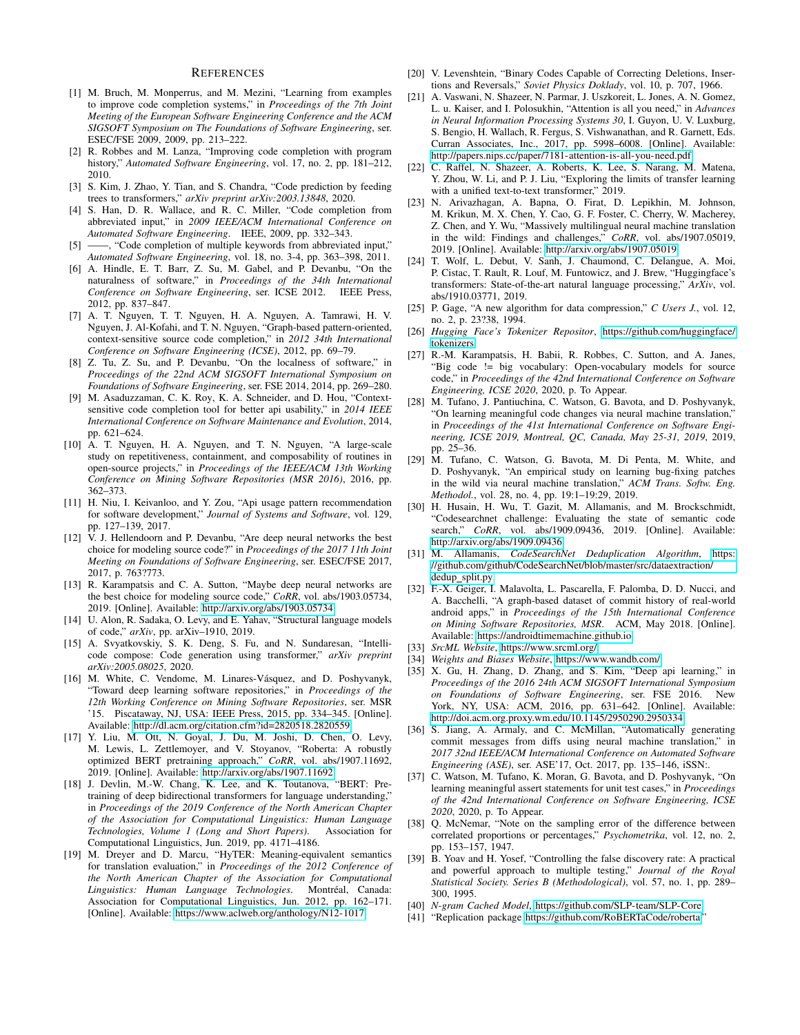# **REFERENCES**

- <span id="page-10-0"></span>[1] M. Bruch, M. Monperrus, and M. Mezini, "Learning from examples to improve code completion systems," in *Proceedings of the 7th Joint Meeting of the European Software Engineering Conference and the ACM SIGSOFT Symposium on The Foundations of Software Engineering*, ser. ESEC/FSE 2009, 2009, pp. 213–222.
- <span id="page-10-4"></span>[2] R. Robbes and M. Lanza, "Improving code completion with program history," *Automated Software Engineering*, vol. 17, no. 2, pp. 181–212, 2010.
- <span id="page-10-1"></span>[3] S. Kim, J. Zhao, Y. Tian, and S. Chandra, "Code prediction by feeding trees to transformers," *arXiv preprint arXiv:2003.13848*, 2020.
- <span id="page-10-2"></span>[4] S. Han, D. R. Wallace, and R. C. Miller, "Code completion from abbreviated input," in *2009 IEEE/ACM International Conference on Automated Software Engineering*. IEEE, 2009, pp. 332–343.
- <span id="page-10-3"></span>[5] ——, "Code completion of multiple keywords from abbreviated input," *Automated Software Engineering*, vol. 18, no. 3-4, pp. 363–398, 2011.
- <span id="page-10-5"></span>[6] A. Hindle, E. T. Barr, Z. Su, M. Gabel, and P. Devanbu, "On the naturalness of software," in *Proceedings of the 34th International Conference on Software Engineering*, ser. ICSE 2012. IEEE Press, 2012, pp. 837–847.
- <span id="page-10-36"></span>[7] A. T. Nguyen, T. T. Nguyen, H. A. Nguyen, A. Tamrawi, H. V. Nguyen, J. Al-Kofahi, and T. N. Nguyen, "Graph-based pattern-oriented, context-sensitive source code completion," in *2012 34th International Conference on Software Engineering (ICSE)*, 2012, pp. 69–79.
- <span id="page-10-38"></span>[8] Z. Tu, Z. Su, and P. Devanbu, "On the localness of software," in *Proceedings of the 22nd ACM SIGSOFT International Symposium on Foundations of Software Engineering*, ser. FSE 2014, 2014, pp. 269–280.
- <span id="page-10-35"></span>[9] M. Asaduzzaman, C. K. Roy, K. A. Schneider, and D. Hou, "Contextsensitive code completion tool for better api usability," in *2014 IEEE International Conference on Software Maintenance and Evolution*, 2014, pp. 621–624.
- [10] A. T. Nguyen, H. A. Nguyen, and T. N. Nguyen, "A large-scale study on repetitiveness, containment, and composability of routines in open-source projects," in *Proceedings of the IEEE/ACM 13th Working Conference on Mining Software Repositories (MSR 2016)*, 2016, pp. 362–373.
- <span id="page-10-37"></span>[11] H. Niu, I. Keivanloo, and Y. Zou, "Api usage pattern recommendation for software development," *Journal of Systems and Software*, vol. 129, pp. 127–139, 2017.
- <span id="page-10-6"></span>[12] V. J. Hellendoorn and P. Devanbu, "Are deep neural networks the best choice for modeling source code?" in *Proceedings of the 2017 11th Joint Meeting on Foundations of Software Engineering*, ser. ESEC/FSE 2017, 2017, p. 763?773.
- <span id="page-10-7"></span>[13] R. Karampatsis and C. A. Sutton, "Maybe deep neural networks are the best choice for modeling source code," *CoRR*, vol. abs/1903.05734, 2019. [Online]. Available:<http://arxiv.org/abs/1903.05734>
- <span id="page-10-9"></span>[14] U. Alon, R. Sadaka, O. Levy, and E. Yahav, "Structural language models of code," *arXiv*, pp. arXiv–1910, 2019.
- <span id="page-10-10"></span>[15] A. Svyatkovskiy, S. K. Deng, S. Fu, and N. Sundaresan, "Intellicode compose: Code generation using transformer," *arXiv preprint arXiv:2005.08025*, 2020.
- <span id="page-10-8"></span>[16] M. White, C. Vendome, M. Linares-Vásquez, and D. Poshyvanyk, "Toward deep learning software repositories," in *Proceedings of the 12th Working Conference on Mining Software Repositories*, ser. MSR '15. Piscataway, NJ, USA: IEEE Press, 2015, pp. 334–345. [Online]. Available:<http://dl.acm.org/citation.cfm?id=2820518.2820559>
- <span id="page-10-11"></span>[17] Y. Liu, M. Ott, N. Goyal, J. Du, M. Joshi, D. Chen, O. Levy, M. Lewis, L. Zettlemoyer, and V. Stoyanov, "Roberta: A robustly optimized BERT pretraining approach," *CoRR*, vol. abs/1907.11692, 2019. [Online]. Available:<http://arxiv.org/abs/1907.11692>
- <span id="page-10-12"></span>[18] J. Devlin, M.-W. Chang, K. Lee, and K. Toutanova, "BERT: Pretraining of deep bidirectional transformers for language understanding," in *Proceedings of the 2019 Conference of the North American Chapter of the Association for Computational Linguistics: Human Language Technologies, Volume 1 (Long and Short Papers)*. Association for Computational Linguistics, Jun. 2019, pp. 4171–4186.
- <span id="page-10-13"></span>[19] M. Dreyer and D. Marcu, "HyTER: Meaning-equivalent semantics for translation evaluation," in *Proceedings of the 2012 Conference of the North American Chapter of the Association for Computational Linguistics: Human Language Technologies*. Montreal, Canada: ´ Association for Computational Linguistics, Jun. 2012, pp. 162–171. [Online]. Available:<https://www.aclweb.org/anthology/N12-1017>
- <span id="page-10-14"></span>[20] V. Levenshtein, "Binary Codes Capable of Correcting Deletions, Insertions and Reversals," *Soviet Physics Doklady*, vol. 10, p. 707, 1966.
- <span id="page-10-15"></span>[21] A. Vaswani, N. Shazeer, N. Parmar, J. Uszkoreit, L. Jones, A. N. Gomez, L. u. Kaiser, and I. Polosukhin, "Attention is all you need," in *Advances in Neural Information Processing Systems 30*, I. Guyon, U. V. Luxburg, S. Bengio, H. Wallach, R. Fergus, S. Vishwanathan, and R. Garnett, Eds. Curran Associates, Inc., 2017, pp. 5998–6008. [Online]. Available: <http://papers.nips.cc/paper/7181-attention-is-all-you-need.pdf>
- <span id="page-10-16"></span>[22] C. Raffel, N. Shazeer, A. Roberts, K. Lee, S. Narang, M. Matena, Y. Zhou, W. Li, and P. J. Liu, "Exploring the limits of transfer learning with a unified text-to-text transformer," 2019.
- <span id="page-10-17"></span>[23] N. Arivazhagan, A. Bapna, O. Firat, D. Lepikhin, M. Johnson, M. Krikun, M. X. Chen, Y. Cao, G. F. Foster, C. Cherry, W. Macherey, Z. Chen, and Y. Wu, "Massively multilingual neural machine translation in the wild: Findings and challenges," *CoRR*, vol. abs/1907.05019, 2019. [Online]. Available:<http://arxiv.org/abs/1907.05019>
- <span id="page-10-18"></span>[24] T. Wolf, L. Debut, V. Sanh, J. Chaumond, C. Delangue, A. Moi, P. Cistac, T. Rault, R. Louf, M. Funtowicz, and J. Brew, "Huggingface's transformers: State-of-the-art natural language processing," *ArXiv*, vol. abs/1910.03771, 2019.
- <span id="page-10-19"></span>[25] P. Gage, "A new algorithm for data compression," *C Users J.*, vol. 12, no. 2, p. 23?38, 1994.
- <span id="page-10-20"></span>[26] *Hugging Face's Tokenizer Repositor*, [https://github.com/huggingface/](https://github.com/huggingface/tokenizers) [tokenizers.](https://github.com/huggingface/tokenizers)
- <span id="page-10-21"></span>[27] R.-M. Karampatsis, H. Babii, R. Robbes, C. Sutton, and A. Janes, "Big code != big vocabulary: Open-vocabulary models for source code," in *Proceedings of the 42nd International Conference on Software Engineering, ICSE 2020*, 2020, p. To Appear.
- <span id="page-10-22"></span>[28] M. Tufano, J. Pantiuchina, C. Watson, G. Bavota, and D. Poshyvanyk, "On learning meaningful code changes via neural machine translation," in *Proceedings of the 41st International Conference on Software Engineering, ICSE 2019, Montreal, QC, Canada, May 25-31, 2019*, 2019, pp. 25–36.
- <span id="page-10-23"></span>[29] M. Tufano, C. Watson, G. Bavota, M. Di Penta, M. White, and D. Poshyvanyk, "An empirical study on learning bug-fixing patches in the wild via neural machine translation," *ACM Trans. Softw. Eng. Methodol.*, vol. 28, no. 4, pp. 19:1–19:29, 2019.
- <span id="page-10-24"></span>[30] H. Husain, H. Wu, T. Gazit, M. Allamanis, and M. Brockschmidt, "Codesearchnet challenge: Evaluating the state of semantic code search," *CoRR*, vol. abs/1909.09436, 2019. [Online]. Available: <http://arxiv.org/abs/1909.09436>
- <span id="page-10-25"></span>[31] M. Allamanis, *CodeSearchNet Deduplication Algorithm*, [https:](https://github.com/github/CodeSearchNet/blob/master/src/dataextraction/dedup_split.py) [//github.com/github/CodeSearchNet/blob/master/src/dataextraction/](https://github.com/github/CodeSearchNet/blob/master/src/dataextraction/dedup_split.py) dedup\_[split.py.](https://github.com/github/CodeSearchNet/blob/master/src/dataextraction/dedup_split.py)
- <span id="page-10-26"></span>[32] F.-X. Geiger, I. Malavolta, L. Pascarella, F. Palomba, D. D. Nucci, and A. Bacchelli, "A graph-based dataset of commit history of real-world android apps," in *Proceedings of the 15th International Conference on Mining Software Repositories, MSR*. ACM, May 2018. [Online]. Available:<https://androidtimemachine.github.io>
- <span id="page-10-27"></span>[33] *SrcML Website*, [https://www.srcml.org/.](https://www.srcml.org/)
- <span id="page-10-28"></span>[34] *Weights and Biases Website*, [https://www.wandb.com/.](https://www.wandb.com/)
- <span id="page-10-29"></span>[35] X. Gu, H. Zhang, D. Zhang, and S. Kim, "Deep api learning," in *Proceedings of the 2016 24th ACM SIGSOFT International Symposium on Foundations of Software Engineering*, ser. FSE 2016. New York, NY, USA: ACM, 2016, pp. 631–642. [Online]. Available: <http://doi.acm.org.proxy.wm.edu/10.1145/2950290.2950334>
- [36] S. Jiang, A. Armaly, and C. McMillan, "Automatically generating commit messages from diffs using neural machine translation," in *2017 32nd IEEE/ACM International Conference on Automated Software Engineering (ASE)*, ser. ASE'17, Oct. 2017, pp. 135–146, iSSN:.
- <span id="page-10-30"></span>[37] C. Watson, M. Tufano, K. Moran, G. Bavota, and D. Poshyvanyk, "On learning meaningful assert statements for unit test cases," in *Proceedings of the 42nd International Conference on Software Engineering, ICSE 2020*, 2020, p. To Appear.
- <span id="page-10-31"></span>[38] Q. McNemar, "Note on the sampling error of the difference between correlated proportions or percentages," *Psychometrika*, vol. 12, no. 2, pp. 153–157, 1947.
- <span id="page-10-32"></span>[39] B. Yoav and H. Yosef, "Controlling the false discovery rate: A practical and powerful approach to multiple testing," *Journal of the Royal Statistical Society. Series B (Methodological)*, vol. 57, no. 1, pp. 289– 300, 1995.
- <span id="page-10-33"></span>[40] *N-gram Cached Model*, [https://github.com/SLP-team/SLP-Core.](https://github.com/SLP-team/SLP-Core)
- <span id="page-10-34"></span>[41] "Replication package [https://github.com/RoBERTaCode/roberta.](https://github.com/RoBERTaCode/roberta)"